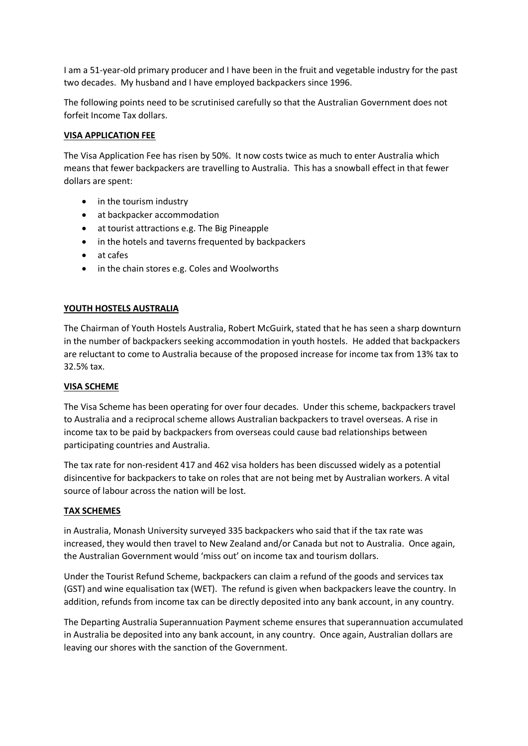I am a 51-year-old primary producer and I have been in the fruit and vegetable industry for the past two decades. My husband and I have employed backpackers since 1996.

The following points need to be scrutinised carefully so that the Australian Government does not forfeit Income Tax dollars.

## **VISA APPLICATION FEE**

The Visa Application Fee has risen by 50%. It now costs twice as much to enter Australia which means that fewer backpackers are travelling to Australia. This has a snowball effect in that fewer dollars are spent:

- in the tourism industry
- at backpacker accommodation
- at tourist attractions e.g. The Big Pineapple
- in the hotels and taverns frequented by backpackers
- at cafes
- in the chain stores e.g. Coles and Woolworths

## **YOUTH HOSTELS AUSTRALIA**

The Chairman of Youth Hostels Australia, Robert McGuirk, stated that he has seen a sharp downturn in the number of backpackers seeking accommodation in youth hostels. He added that backpackers are reluctant to come to Australia because of the proposed increase for income tax from 13% tax to 32.5% tax.

## **VISA SCHEME**

The Visa Scheme has been operating for over four decades. Under this scheme, backpackers travel to Australia and a reciprocal scheme allows Australian backpackers to travel overseas. A rise in income tax to be paid by backpackers from overseas could cause bad relationships between participating countries and Australia.

The tax rate for non-resident 417 and 462 visa holders has been discussed widely as a potential disincentive for backpackers to take on roles that are not being met by Australian workers. A vital source of labour across the nation will be lost.

## **TAX SCHEMES**

in Australia, Monash University surveyed 335 backpackers who said that if the tax rate was increased, they would then travel to New Zealand and/or Canada but not to Australia. Once again, the Australian Government would 'miss out' on income tax and tourism dollars.

Under the Tourist Refund Scheme, backpackers can claim a refund of the goods and services tax (GST) and wine equalisation tax (WET). The refund is given when backpackers leave the country. In addition, refunds from income tax can be directly deposited into any bank account, in any country.

The Departing Australia Superannuation Payment scheme ensures that superannuation accumulated in Australia be deposited into any bank account, in any country. Once again, Australian dollars are leaving our shores with the sanction of the Government.